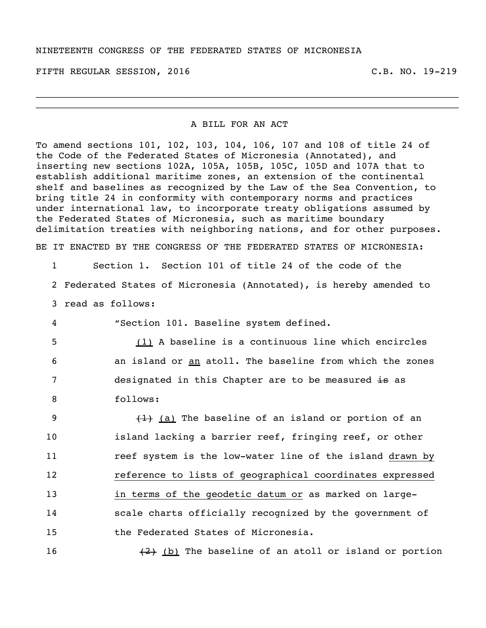## NINETEENTH CONGRESS OF THE FEDERATED STATES OF MICRONESIA

FIFTH REGULAR SESSION, 2016 C.B. NO. 19-219

## A BILL FOR AN ACT

\_\_\_\_\_\_\_\_\_\_\_\_\_\_\_\_\_\_\_\_\_\_\_\_\_\_\_\_\_\_\_\_\_\_\_\_\_\_\_\_\_\_\_\_\_\_\_\_\_\_\_\_\_\_\_\_\_\_\_\_\_\_\_\_\_\_\_\_\_\_\_\_\_\_ \_\_\_\_\_\_\_\_\_\_\_\_\_\_\_\_\_\_\_\_\_\_\_\_\_\_\_\_\_\_\_\_\_\_\_\_\_\_\_\_\_\_\_\_\_\_\_\_\_\_\_\_\_\_\_\_\_\_\_\_\_\_\_\_\_\_\_\_\_\_\_\_\_\_

To amend sections 101, 102, 103, 104, 106, 107 and 108 of title 24 of the Code of the Federated States of Micronesia (Annotated), and inserting new sections 102A, 105A, 105B, 105C, 105D and 107A that to establish additional maritime zones, an extension of the continental shelf and baselines as recognized by the Law of the Sea Convention, to bring title 24 in conformity with contemporary norms and practices under international law, to incorporate treaty obligations assumed by the Federated States of Micronesia, such as maritime boundary delimitation treaties with neighboring nations, and for other purposes.

BE IT ENACTED BY THE CONGRESS OF THE FEDERATED STATES OF MICRONESIA:

| $\mathbf{1}$ | Section 1. Section 101 of title 24 of the code of the              |
|--------------|--------------------------------------------------------------------|
|              | 2 Federated States of Micronesia (Annotated), is hereby amended to |
|              | 3 read as follows:                                                 |
| 4            | "Section 101. Baseline system defined.                             |
| 5            | (1) A baseline is a continuous line which encircles                |
| 6            | an island or an atoll. The baseline from which the zones           |
| 7            | designated in this Chapter are to be measured is as                |
| 8            | follows:                                                           |
| 9            | $(1)$ (a) The baseline of an island or portion of an               |
| 10           | island lacking a barrier reef, fringing reef, or other             |
| 11           | reef system is the low-water line of the island drawn by           |
| 12           | reference to lists of geographical coordinates expressed           |
| 13           | in terms of the geodetic datum or as marked on large-              |
| 14           | scale charts officially recognized by the government of            |
| 15           | the Federated States of Micronesia.                                |
| 16           | $(2)$ (b) The baseline of an atoll or island or portion            |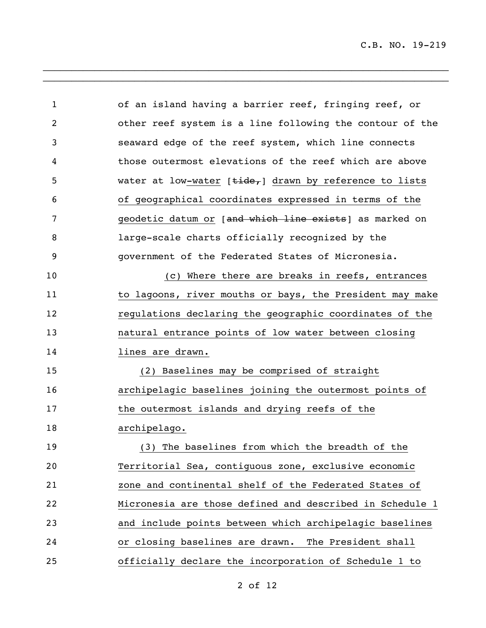C.B. NO. 19-219

| 1              | of an island having a barrier reef, fringing reef, or                                          |
|----------------|------------------------------------------------------------------------------------------------|
| $\overline{2}$ | other reef system is a line following the contour of the                                       |
| 3              | seaward edge of the reef system, which line connects                                           |
| 4              | those outermost elevations of the reef which are above                                         |
| 5              | water at low-water $\lceil \frac{\text{tide}}{\text{tide}} \rceil$ drawn by reference to lists |
| 6              | of geographical coordinates expressed in terms of the                                          |
| 7              | geodetic datum or [and which line exists] as marked on                                         |
| 8              | large-scale charts officially recognized by the                                                |
| 9              | government of the Federated States of Micronesia.                                              |
| 10             | (c) Where there are breaks in reefs, entrances                                                 |
| 11             | to lagoons, river mouths or bays, the President may make                                       |
| 12             | regulations declaring the geographic coordinates of the                                        |
| 13             | natural entrance points of low water between closing                                           |
| 14             | lines are drawn.                                                                               |
| 15             | (2) Baselines may be comprised of straight                                                     |
| 16             | archipelagic baselines joining the outermost points of                                         |
| 17             | the outermost islands and drying reefs of the                                                  |
| 18             | archipelago.                                                                                   |
| 19             | (3) The baselines from which the breadth of the                                                |
| 20             | Territorial Sea, contiguous zone, exclusive economic                                           |
| 21             | zone and continental shelf of the Federated States of                                          |
| 22             | Micronesia are those defined and described in Schedule 1                                       |
| 23             | and include points between which archipelagic baselines                                        |
| 24             | or closing baselines are drawn. The President shall                                            |
| 25             | officially declare the incorporation of Schedule 1 to                                          |

\_\_\_\_\_\_\_\_\_\_\_\_\_\_\_\_\_\_\_\_\_\_\_\_\_\_\_\_\_\_\_\_\_\_\_\_\_\_\_\_\_\_\_\_\_\_\_\_\_\_\_\_\_\_\_\_\_\_\_\_\_\_\_\_\_\_\_\_\_\_\_

\_\_\_\_\_\_\_\_\_\_\_\_\_\_\_\_\_\_\_\_\_\_\_\_\_\_\_\_\_\_\_\_\_\_\_\_\_\_\_\_\_\_\_\_\_\_\_\_\_\_\_\_\_\_\_\_\_\_\_\_\_\_\_\_\_\_\_\_\_\_\_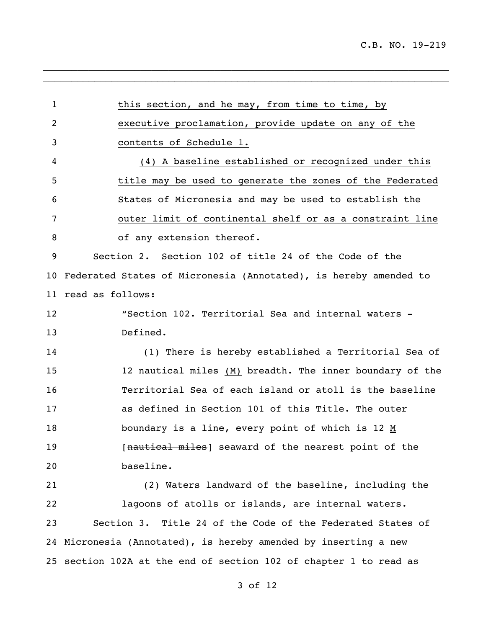1 this section, and he may, from time to time, by executive proclamation, provide update on any of the contents of Schedule 1. (4) A baseline established or recognized under this title may be used to generate the zones of the Federated States of Micronesia and may be used to establish the outer limit of continental shelf or as a constraint line 8 of any extension thereof. Section 2. Section 102 of title 24 of the Code of the Federated States of Micronesia (Annotated), is hereby amended to read as follows: "Section 102. Territorial Sea and internal waters - Defined. (1) There is hereby established a Territorial Sea of 15 12 nautical miles (M) breadth. The inner boundary of the Territorial Sea of each island or atoll is the baseline as defined in Section 101 of this Title. The outer 18 boundary is a line, every point of which is 12  $M$ </u> **Inautical miles** seaward of the nearest point of the baseline. (2) Waters landward of the baseline, including the lagoons of atolls or islands, are internal waters. Section 3. Title 24 of the Code of the Federated States of Micronesia (Annotated), is hereby amended by inserting a new section 102A at the end of section 102 of chapter 1 to read as

\_\_\_\_\_\_\_\_\_\_\_\_\_\_\_\_\_\_\_\_\_\_\_\_\_\_\_\_\_\_\_\_\_\_\_\_\_\_\_\_\_\_\_\_\_\_\_\_\_\_\_\_\_\_\_\_\_\_\_\_\_\_\_\_\_\_\_\_\_\_\_ \_\_\_\_\_\_\_\_\_\_\_\_\_\_\_\_\_\_\_\_\_\_\_\_\_\_\_\_\_\_\_\_\_\_\_\_\_\_\_\_\_\_\_\_\_\_\_\_\_\_\_\_\_\_\_\_\_\_\_\_\_\_\_\_\_\_\_\_\_\_\_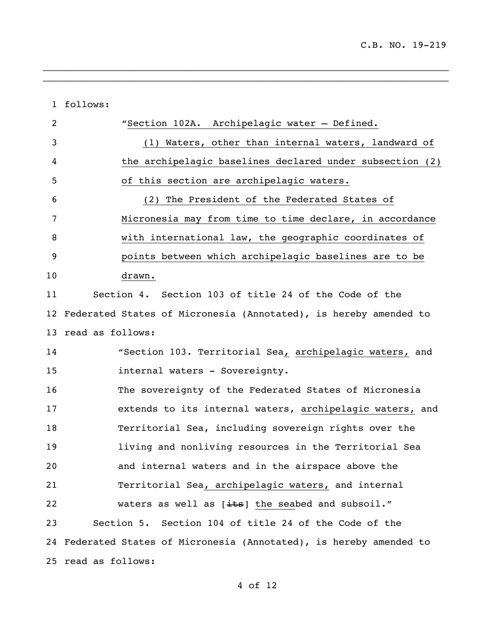$\_$  ,  $\_$  ,  $\_$  ,  $\_$  ,  $\_$  ,  $\_$  ,  $\_$  ,  $\_$  ,  $\_$  ,  $\_$  ,  $\_$  ,  $\_$  ,  $\_$  ,  $\_$  ,  $\_$  ,  $\_$  ,  $\_$  ,  $\_$ 

| $\mathbf{1}$ | follows:                                                                  |
|--------------|---------------------------------------------------------------------------|
| 2            | "Section 102A. Archipelagic water - Defined.                              |
| 3            | (1) Waters, other than internal waters, landward of                       |
| 4            | the archipelagic baselines declared under subsection (2)                  |
| 5            | of this section are archipelagic waters.                                  |
| 6            | (2) The President of the Federated States of                              |
| 7            | Micronesia may from time to time declare, in accordance                   |
| 8            | with international law, the geographic coordinates of                     |
| 9            | points between which archipelagic baselines are to be                     |
| 10           | drawn.                                                                    |
| 11           | Section 4. Section 103 of title 24 of the Code of the                     |
|              | 12 Federated States of Micronesia (Annotated), is hereby amended to       |
|              | 13 read as follows:                                                       |
| 14           | "Section 103. Territorial Sea, archipelagic waters, and                   |
| 15           | internal waters - Sovereignty.                                            |
| 16           | The sovereignty of the Federated States of Micronesia                     |
| 17           | extends to its internal waters, archipelagic waters, and                  |
| 18           | Territorial Sea, including sovereign rights over the                      |
| 19           | living and nonliving resources in the Territorial Sea                     |
| 20           | and internal waters and in the airspace above the                         |
| 21           | Territorial Sea, archipelagic waters, and internal                        |
| 22           | waters as well as $\left[\frac{1+s}{1+s}\right]$ the seabed and subsoil." |
| 23           | Section 5. Section 104 of title 24 of the Code of the                     |
|              | 24 Federated States of Micronesia (Annotated), is hereby amended to       |
|              | 25 read as follows:                                                       |

\_\_\_\_\_\_\_\_\_\_\_\_\_\_\_\_\_\_\_\_\_\_\_\_\_\_\_\_\_\_\_\_\_\_\_\_\_\_\_\_\_\_\_\_\_\_\_\_\_\_\_\_\_\_\_\_\_\_\_\_\_\_\_\_\_\_\_\_\_\_\_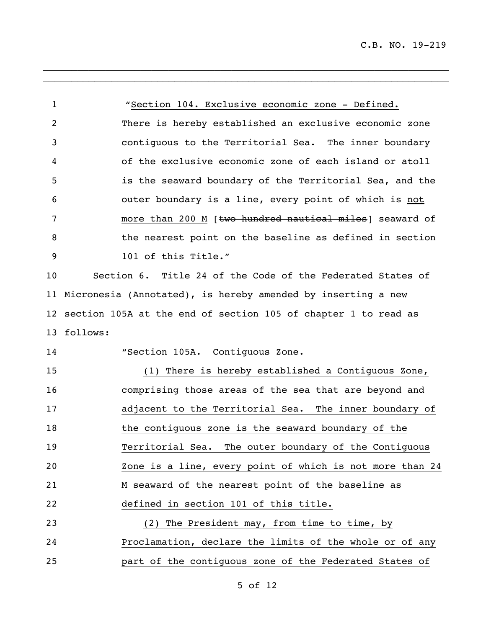| $\mathbf{1}$   | "Section 104. Exclusive economic zone - Defined.                  |
|----------------|-------------------------------------------------------------------|
| $\overline{c}$ | There is hereby established an exclusive economic zone            |
| 3              | contiquous to the Territorial Sea. The inner boundary             |
| 4              | of the exclusive economic zone of each island or atoll            |
| 5              | is the seaward boundary of the Territorial Sea, and the           |
| 6              | outer boundary is a line, every point of which is not             |
| $\overline{7}$ | more than 200 M [two hundred nautical miles] seaward of           |
| 8              | the nearest point on the baseline as defined in section           |
| 9              | 101 of this Title."                                               |
| 10             | Section 6. Title 24 of the Code of the Federated States of        |
|                | 11 Micronesia (Annotated), is hereby amended by inserting a new   |
|                | 12 section 105A at the end of section 105 of chapter 1 to read as |
|                | 13 follows:                                                       |
|                |                                                                   |
| 14             | "Section 105A. Contiguous Zone.                                   |
| 15             | (1) There is hereby established a Contiguous Zone,                |
| 16             | comprising those areas of the sea that are beyond and             |
| 17             | adjacent to the Territorial Sea. The inner boundary of            |
| 18             | the contiguous zone is the seaward boundary of the                |
| 19             | Territorial Sea. The outer boundary of the Contiguous             |
| 20             | Zone is a line, every point of which is not more than 24          |
| 21             | M seaward of the nearest point of the baseline as                 |
| 22             | defined in section 101 of this title.                             |
| 23             | (2) The President may, from time to time, by                      |
| 24             | Proclamation, declare the limits of the whole or of any           |

 $\ldots$  . The contribution of the contribution of the contribution of the contribution of the contribution of the contribution of the contribution of the contribution of the contribution of the contribution of the contribut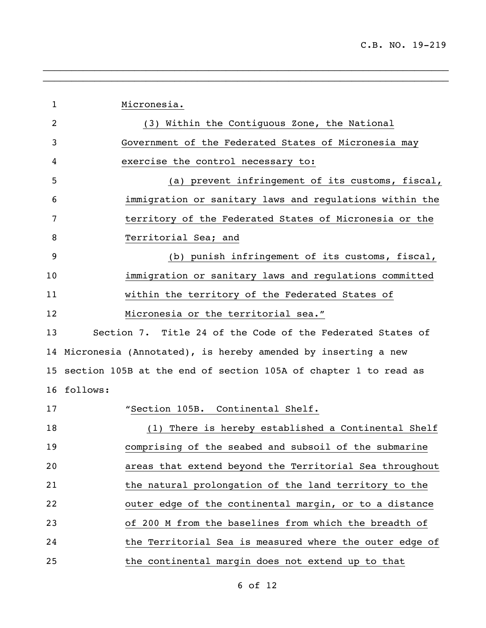| 1  | Micronesia.                                                        |
|----|--------------------------------------------------------------------|
| 2  | (3) Within the Contiguous Zone, the National                       |
| 3  | Government of the Federated States of Micronesia may               |
| 4  | exercise the control necessary to:                                 |
| 5  | (a) prevent infringement of its customs, fiscal,                   |
| 6  | immigration or sanitary laws and regulations within the            |
| 7  | territory of the Federated States of Micronesia or the             |
| 8  | Territorial Sea; and                                               |
| 9  | (b) punish infringement of its customs, fiscal,                    |
| 10 | immigration or sanitary laws and regulations committed             |
| 11 | within the territory of the Federated States of                    |
| 12 | Micronesia or the territorial sea."                                |
| 13 | Section 7. Title 24 of the Code of the Federated States of         |
|    | 14 Micronesia (Annotated), is hereby amended by inserting a new    |
|    | 15 section 105B at the end of section 105A of chapter 1 to read as |
|    | 16 follows:                                                        |
| 17 | "Section 105B. Continental Shelf.                                  |
| 18 | (1) There is hereby established a Continental Shelf                |
| 19 | comprising of the seabed and subsoil of the submarine              |
| 20 | areas that extend beyond the Territorial Sea throughout            |
| 21 | the natural prolongation of the land territory to the              |
| 22 | outer edge of the continental margin, or to a distance             |
| 23 | of 200 M from the baselines from which the breadth of              |
| 24 | the Territorial Sea is measured where the outer edge of            |
| 25 | the continental margin does not extend up to that                  |

\_\_\_\_\_\_\_\_\_\_\_\_\_\_\_\_\_\_\_\_\_\_\_\_\_\_\_\_\_\_\_\_\_\_\_\_\_\_\_\_\_\_\_\_\_\_\_\_\_\_\_\_\_\_\_\_\_\_\_\_\_\_\_\_\_\_\_\_\_\_\_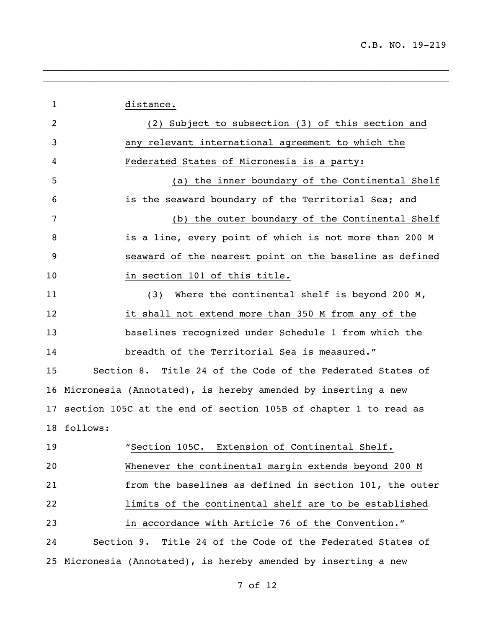| 1              | distance.                                                       |
|----------------|-----------------------------------------------------------------|
| $\overline{2}$ | (2) Subject to subsection (3) of this section and               |
| 3              | any relevant international agreement to which the               |
| 4              | Federated States of Micronesia is a party:                      |
| 5              | (a) the inner boundary of the Continental Shelf                 |
| 6              | is the seaward boundary of the Territorial Sea; and             |
| 7              | (b) the outer boundary of the Continental Shelf                 |
| 8              | is a line, every point of which is not more than 200 M          |
| 9              | seaward of the nearest point on the baseline as defined         |
| 10             | in section 101 of this title.                                   |
| 11             | Where the continental shelf is beyond 200 M,<br>(3)             |
| 12             | it shall not extend more than 350 M from any of the             |
| 13             | baselines recognized under Schedule 1 from which the            |
| 14             | breadth of the Territorial Sea is measured."                    |
| 15             | Section 8. Title 24 of the Code of the Federated States of      |
| 16             | Micronesia (Annotated), is hereby amended by inserting a new    |
| 17             | section 105C at the end of section 105B of chapter 1 to read as |
| 18             | follows:                                                        |
| 19             | "Section 105C. Extension of Continental Shelf.                  |
| 20             | Whenever the continental margin extends beyond 200 M            |
| 21             | from the baselines as defined in section 101, the outer         |
| 22             | limits of the continental shelf are to be established           |
| 23             | in accordance with Article 76 of the Convention."               |
| 24             | Section 9. Title 24 of the Code of the Federated States of      |
| 25             | Micronesia (Annotated), is hereby amended by inserting a new    |

 $\ldots$  . The contribution of the contribution of the contribution of the contribution of the contribution of the contribution of the contribution of the contribution of the contribution of the contribution of the contribut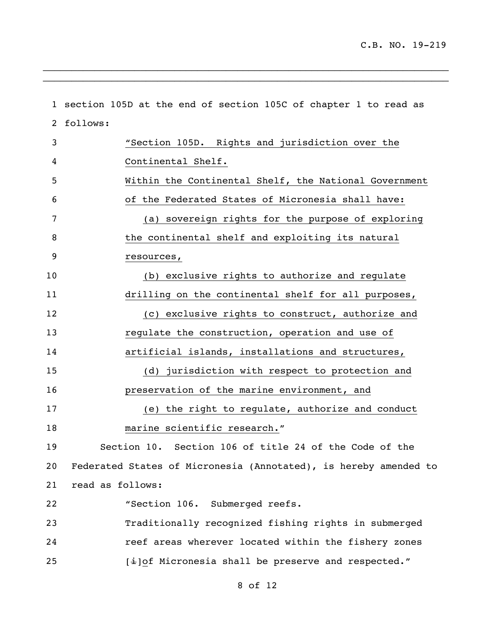section 105D at the end of section 105C of chapter 1 to read as follows: "Section 105D. Rights and jurisdiction over the Continental Shelf. Within the Continental Shelf, the National Government of the Federated States of Micronesia shall have: (a) sovereign rights for the purpose of exploring 8 the continental shelf and exploiting its natural resources, (b) exclusive rights to authorize and regulate drilling on the continental shelf for all purposes, (c) exclusive rights to construct, authorize and regulate the construction, operation and use of artificial islands, installations and structures, (d) jurisdiction with respect to protection and preservation of the marine environment, and (e) the right to regulate, authorize and conduct 18 marine scientific research." Section 10. Section 106 of title 24 of the Code of the Federated States of Micronesia (Annotated), is hereby amended to read as follows: "Section 106. Submerged reefs. Traditionally recognized fishing rights in submerged reef areas wherever located within the fishery zones  $1\pm$ ]of Micronesia shall be preserve and respected."

\_\_\_\_\_\_\_\_\_\_\_\_\_\_\_\_\_\_\_\_\_\_\_\_\_\_\_\_\_\_\_\_\_\_\_\_\_\_\_\_\_\_\_\_\_\_\_\_\_\_\_\_\_\_\_\_\_\_\_\_\_\_\_\_\_\_\_\_\_\_\_ \_\_\_\_\_\_\_\_\_\_\_\_\_\_\_\_\_\_\_\_\_\_\_\_\_\_\_\_\_\_\_\_\_\_\_\_\_\_\_\_\_\_\_\_\_\_\_\_\_\_\_\_\_\_\_\_\_\_\_\_\_\_\_\_\_\_\_\_\_\_\_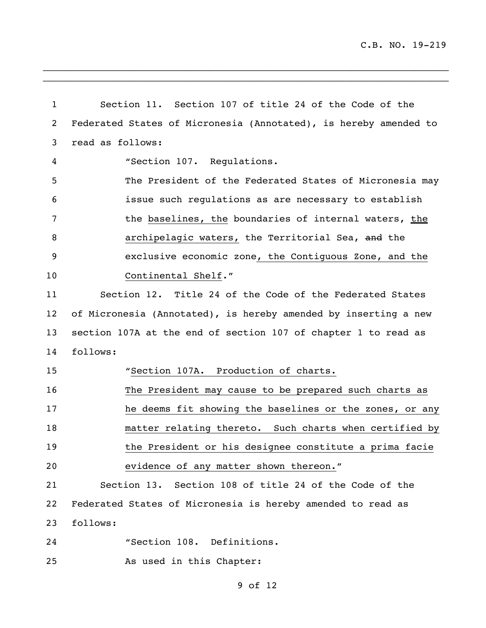| $\mathbf{1}$ | Section 11. Section 107 of title 24 of the Code of the           |
|--------------|------------------------------------------------------------------|
| 2            | Federated States of Micronesia (Annotated), is hereby amended to |
| 3            | read as follows:                                                 |
| 4            | "Section 107. Regulations.                                       |
| 5            | The President of the Federated States of Micronesia may          |
| 6            | issue such regulations as are necessary to establish             |
| 7            | the baselines, the boundaries of internal waters, the            |
| 8            | archipelagic waters, the Territorial Sea, and the                |
| 9            | exclusive economic zone, the Contiguous Zone, and the            |
| 10           | Continental Shelf."                                              |
| 11           | Section 12. Title 24 of the Code of the Federated States         |
| 12           | of Micronesia (Annotated), is hereby amended by inserting a new  |
| 13           | section 107A at the end of section 107 of chapter 1 to read as   |
| 14           | follows:                                                         |
| 15           | "Section 107A. Production of charts.                             |
| 16           | The President may cause to be prepared such charts as            |
| 17           | he deems fit showing the baselines or the zones, or any          |
| 18           | matter relating thereto. Such charts when certified by           |
| 19           | the President or his designee constitute a prima facie           |
| 20           | evidence of any matter shown thereon."                           |
| 21           | Section 13. Section 108 of title 24 of the Code of the           |
| 22           | Federated States of Micronesia is hereby amended to read as      |
| 23           | follows:                                                         |
| 24           | "Section 108. Definitions.                                       |
| 25           | As used in this Chapter:                                         |

 $\ldots$  . The contribution of the contribution of the contribution of the contribution of the contribution of the contribution of the contribution of the contribution of the contribution of the contribution of the contribut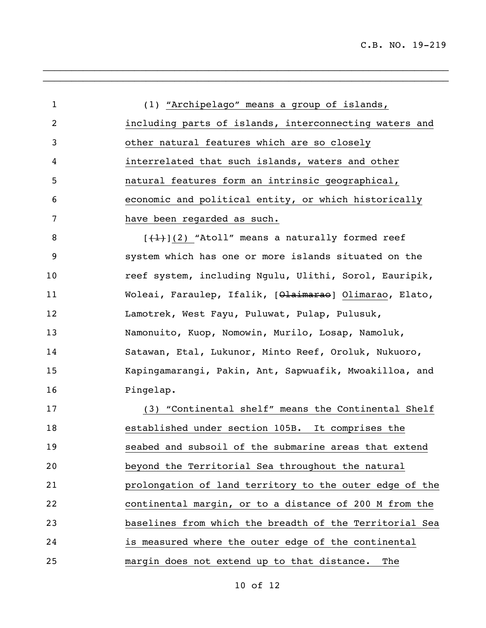(1) "Archipelago" means a group of islands, including parts of islands, interconnecting waters and other natural features which are so closely interrelated that such islands, waters and other natural features form an intrinsic geographical, economic and political entity, or which historically have been regarded as such.

\_\_\_\_\_\_\_\_\_\_\_\_\_\_\_\_\_\_\_\_\_\_\_\_\_\_\_\_\_\_\_\_\_\_\_\_\_\_\_\_\_\_\_\_\_\_\_\_\_\_\_\_\_\_\_\_\_\_\_\_\_\_\_\_\_\_\_\_\_\_\_ \_\_\_\_\_\_\_\_\_\_\_\_\_\_\_\_\_\_\_\_\_\_\_\_\_\_\_\_\_\_\_\_\_\_\_\_\_\_\_\_\_\_\_\_\_\_\_\_\_\_\_\_\_\_\_\_\_\_\_\_\_\_\_\_\_\_\_\_\_\_\_

 $[+1]$ (2) "Atoll" means a naturally formed reef system which has one or more islands situated on the reef system, including Ngulu, Ulithi, Sorol, Eauripik, 11 Woleai, Faraulep, Ifalik, [Olaimarao] Olimarao, Elato, Lamotrek, West Fayu, Puluwat, Pulap, Pulusuk, Namonuito, Kuop, Nomowin, Murilo, Losap, Namoluk, Satawan, Etal, Lukunor, Minto Reef, Oroluk, Nukuoro, Kapingamarangi, Pakin, Ant, Sapwuafik, Mwoakilloa, and Pingelap.

 (3) "Continental shelf" means the Continental Shelf established under section 105B. It comprises the seabed and subsoil of the submarine areas that extend beyond the Territorial Sea throughout the natural prolongation of land territory to the outer edge of the continental margin, or to a distance of 200 M from the baselines from which the breadth of the Territorial Sea is measured where the outer edge of the continental margin does not extend up to that distance. The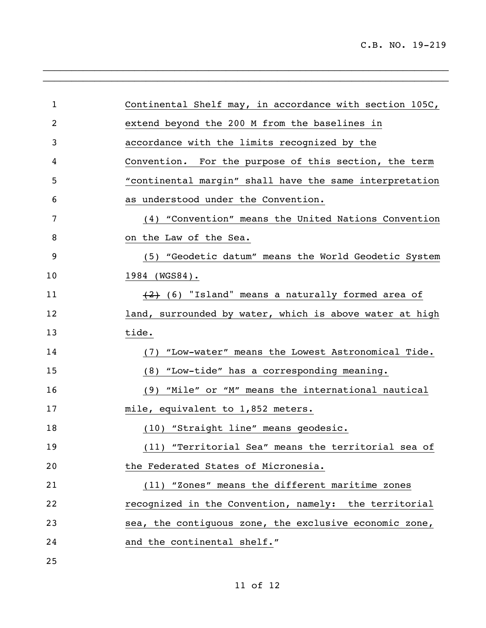| $\mathbf 1$ | Continental Shelf may, in accordance with section 105C, |
|-------------|---------------------------------------------------------|
| 2           | extend beyond the 200 M from the baselines in           |
| 3           | accordance with the limits recognized by the            |
|             |                                                         |
| 4           | Convention. For the purpose of this section, the term   |
| 5           | "continental margin" shall have the same interpretation |
| 6           | as understood under the Convention.                     |
| 7           | (4) "Convention" means the United Nations Convention    |
| 8           | on the Law of the Sea.                                  |
| 9           | (5) "Geodetic datum" means the World Geodetic System    |
| 10          | 1984 (WGS84).                                           |
| 11          | $(2)$ (6) "Island" means a naturally formed area of     |
| 12          | land, surrounded by water, which is above water at high |
| 13          | tide.                                                   |
| 14          | "Low-water" means the Lowest Astronomical Tide.<br>(7)  |
| 15          | (8) "Low-tide" has a corresponding meaning.             |
| 16          | "Mile" or "M" means the international nautical<br>(9)   |
| 17          | mile, equivalent to 1,852 meters.                       |
| 18          | (10) "Straight line" means geodesic.                    |
| 19          | (11) "Territorial Sea" means the territorial sea of     |
| 20          | the Federated States of Micronesia.                     |
| 21          | (11) "Zones" means the different maritime zones         |
| 22          | recognized in the Convention, namely: the territorial   |
| 23          | sea, the contiguous zone, the exclusive economic zone,  |
| 24          | and the continental shelf."                             |
| 25          |                                                         |

\_\_\_\_\_\_\_\_\_\_\_\_\_\_\_\_\_\_\_\_\_\_\_\_\_\_\_\_\_\_\_\_\_\_\_\_\_\_\_\_\_\_\_\_\_\_\_\_\_\_\_\_\_\_\_\_\_\_\_\_\_\_\_\_\_\_\_\_\_\_\_